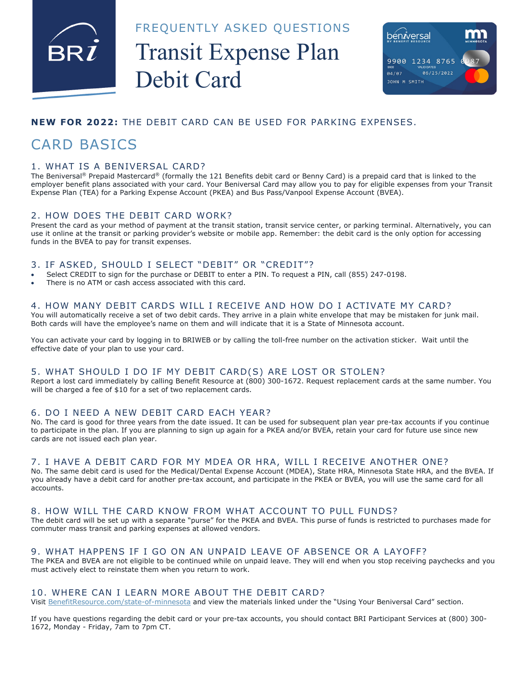

FREQUENTLY ASKED QUESTIONS

# Transit Expense Plan Debit Card



#### **NEW FOR 2022:** THE DEBIT CARD CAN BE USED FOR PARKING EXPENSES.

## CARD BASICS

#### 1. WHAT IS A BENIVERSAL CARD?

The Beniversal® Prepaid Mastercard® (formally the 121 Benefits debit card or Benny Card) is a prepaid card that is linked to the employer benefit plans associated with your card. Your Beniversal Card may allow you to pay for eligible expenses from your Transit Expense Plan (TEA) for a Parking Expense Account (PKEA) and Bus Pass/Vanpool Expense Account (BVEA).

#### 2. HOW DOES THE DEBIT CARD WORK?

Present the card as your method of payment at the transit station, transit service center, or parking terminal. Alternatively, you can use it online at the transit or parking provider's website or mobile app. Remember: the debit card is the only option for accessing funds in the BVEA to pay for transit expenses.

#### 3. IF ASKED, SHOULD I SELECT "DEBIT" OR "CREDIT"?

- Select CREDIT to sign for the purchase or DEBIT to enter a PIN. To request a PIN, call (855) 247-0198.
- There is no ATM or cash access associated with this card.

#### 4. HOW MANY DEBIT CARDS WILL I RECEIVE AND HOW DO I ACTIVATE MY CARD?

You will automatically receive a set of two debit cards. They arrive in a plain white envelope that may be mistaken for junk mail. Both cards will have the employee's name on them and will indicate that it is a State of Minnesota account.

You can activate your card by logging in to BRIWEB or by calling the toll-free number on the activation sticker. Wait until the effective date of your plan to use your card.

#### 5. WHAT SHOULD I DO IF MY DEBIT CARD(S) ARE LOST OR STOLEN?

Report a lost card immediately by calling Benefit Resource at (800) 300-1672. Request replacement cards at the same number. You will be charged a fee of \$10 for a set of two replacement cards.

#### 6. DO I NEED A NEW DEBIT CARD EACH YEAR?

No. The card is good for three years from the date issued. It can be used for subsequent plan year pre-tax accounts if you continue to participate in the plan. If you are planning to sign up again for a PKEA and/or BVEA, retain your card for future use since new cards are not issued each plan year.

#### 7. I HAVE A DEBIT CARD FOR MY MDEA OR HRA, WILL I RECEIVE ANOTHER ONE?

No. The same debit card is used for the Medical/Dental Expense Account (MDEA), State HRA, Minnesota State HRA, and the BVEA. If you already have a debit card for another pre-tax account, and participate in the PKEA or BVEA, you will use the same card for all accounts.

#### 8. HOW WILL THE CARD KNOW FROM WHAT ACCOUNT TO PULL FUNDS?

The debit card will be set up with a separate "purse" for the PKEA and BVEA. This purse of funds is restricted to purchases made for commuter mass transit and parking expenses at allowed vendors.

#### 9. WHAT HAPPENS IF I GO ON AN UNPAID LEAVE OF ABSENCE OR A LAYOFF?

The PKEA and BVEA are not eligible to be continued while on unpaid leave. They will end when you stop receiving paychecks and you must actively elect to reinstate them when you return to work.

#### 10. WHERE CAN I LEARN MORE ABOUT THE DEBIT CARD?

Visit BenefitResource.com/state-of-minnesota and view the materials linked under the "Using Your Beniversal Card" section.

If you have questions regarding the debit card or your pre-tax accounts, you should contact BRI Participant Services at (800) 300- 1672, Monday - Friday, 7am to 7pm CT.